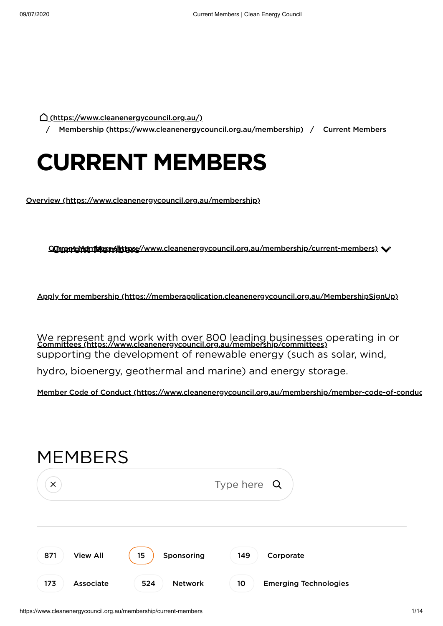[\(https://www.cleanenergycouncil.org.au/\)](https://www.cleanenergycouncil.org.au/)

/ Membership [\(https://www.cleanenergycouncil.org.au/membership\)](https://www.cleanenergycouncil.org.au/membership) / Current Members

# **CURRENT MEMBERS**

Overview [\(https://www.cleanenergycouncil.org.au/membership\)](https://www.cleanenergycouncil.org.au/membership)

COmpricMembles milit pres//www.cleanenergycouncil.org.au/membership/current-members)

Apply for membership [\(https://memberapplication.cleanenergycouncil.org.au/MembershipSignUp\)](https://memberapplication.cleanenergycouncil.org.au/MembershipSignUp)

We represent and work with over 800 leading businesses operating in or<br>Committees [\(https://www.cleanenergycouncil.org.au/membership/committees\)](https://www.cleanenergycouncil.org.au/membership/committees) supporting the development of renewable energy (such as solar, wind, hydro, bioenergy, geothermal and marine) and energy storage.

Member Code of Conduct [\(https://www.cleanenergycouncil.org.au/membership/member-code-of-conduc](https://www.cleanenergycouncil.org.au/membership/member-code-of-conduct)

| <b>MEMBERS</b>  |                |                              |  |
|-----------------|----------------|------------------------------|--|
| $\times$        |                | Type here $Q$                |  |
| <b>View All</b> | 15             | 149                          |  |
| 871             | Sponsoring     | Corporate                    |  |
| 173             | <b>Network</b> | 10                           |  |
| Associate       | 524            | <b>Emerging Technologies</b> |  |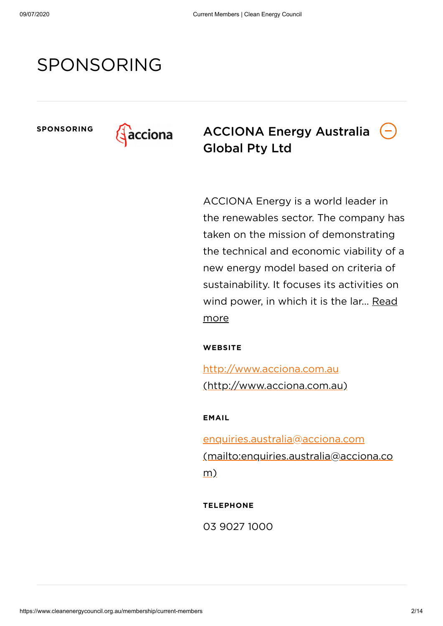# SPONSORING



**SPONSORING ACCIONA Energy Australia** Global Pty Ltd

> ACCIONA Energy is a world leader in the renewables sector. The company has taken on the mission of demonstrating the technical and economic viability of a new energy model based on criteria of sustainability. It focuses its activities on wind power, in which it is the lar... Read more

**WEBSITE**

http://www.acciona.com.au [\(http://www.acciona.com.au\)](http://www.acciona.com.au/)

**EMAIL**

enquiries.australia@acciona.com [\(mailto:enquiries.australia@acciona.co](mailto:enquiries.australia@acciona.com) m)

**TELEPHONE**

03 9027 1000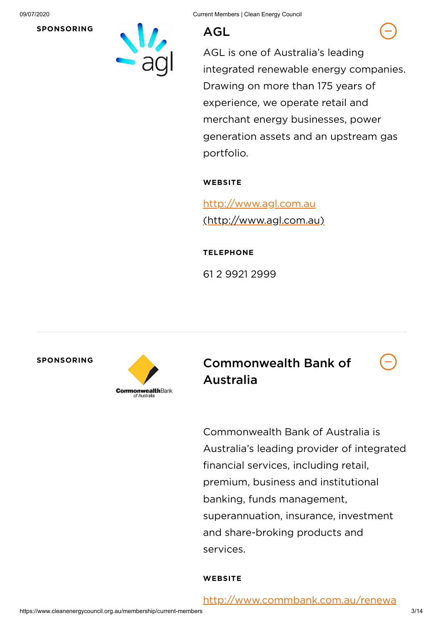

AGL is one of Australia's leading integrated renewable energy companies. Drawing on more than 175 years of experience, we operate retail and merchant energy businesses, power generation assets and an upstream gas portfolio.

### **WEBSITE**

http://www.agl.com.au [\(http://www.agl.com.au\)](http://www.agl.com.au/)

#### **TELEPHONE**

61 2 9921 2999



**SPONSORING** Commonwealth Bank of Australia



Commonwealth Bank of Australia is Australia's leading provider of integrated financial services, including retail, premium, business and institutional banking, funds management, superannuation, insurance, investment and share-broking products and services.

#### **WEBSITE**

[http://www.commbank.com.au/renewa](http://www.commbank.com.au/renewables)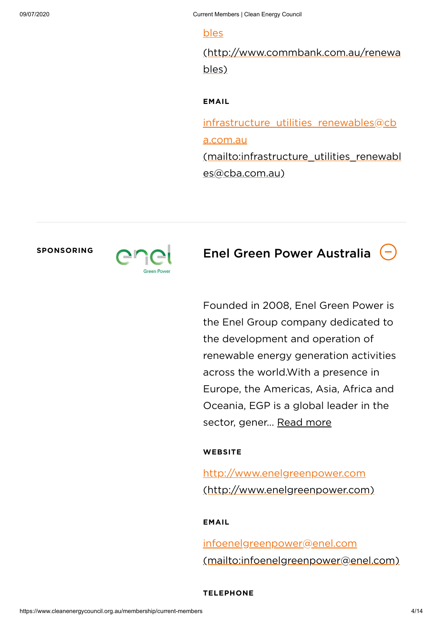#### bles

[\(http://www.commbank.com.au/renewa](http://www.commbank.com.au/renewables) bles)

### **EMAIL**

infrastructure utilities renewables@cb a.com.au [\(mailto:infrastructure\\_utilities\\_renewabl](mailto:infrastructure_utilities_renewables@cba.com.au) es@cba.com.au)



## **SPONSORING Enel Green Power Australia**

Founded in 2008, Enel Green Power is the Enel Group company dedicated to the development and operation of renewable energy generation activities across the world.With a presence in Europe, the Americas, Asia, Africa and Oceania, EGP is a global leader in the sector, gener... Read more

#### **WEBSITE**

http://www.enelgreenpower.com [\(http://www.enelgreenpower.com\)](http://www.enelgreenpower.com/)

#### **EMAIL**

infoenelgreenpower@enel.com [\(mailto:infoenelgreenpower@enel.com\)](mailto:infoenelgreenpower@enel.com)

#### **TELEPHONE**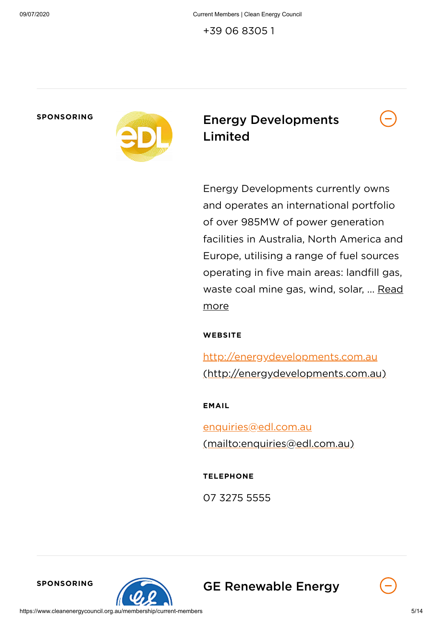+39 06 8305 1



## **SPONSORING** Energy Developments Limited

Energy Developments currently owns and operates an international portfolio of over 985MW of power generation facilities in Australia, North America and Europe, utilising a range of fuel sources operating in five main areas: landfill gas, waste coal mine gas, wind, solar, ... Read more

**WEBSITE**

http://energydevelopments.com.au [\(http://energydevelopments.com.au\)](http://energydevelopments.com.au/)

**EMAIL**

enquiries@edl.com.au [\(mailto:enquiries@edl.com.au\)](mailto:enquiries@edl.com.au)

**TELEPHONE**

07 3275 5555



**SPONSORING GE Renewable Energy** 

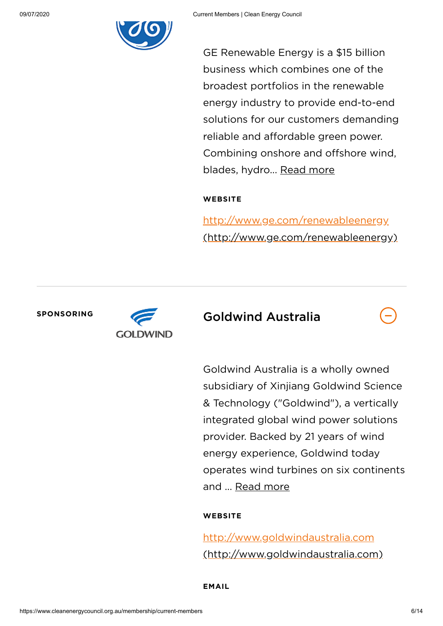

GE Renewable Energy is a \$15 billion business which combines one of the broadest portfolios in the renewable energy industry to provide end-to-end solutions for our customers demanding reliable and affordable green power. Combining onshore and offshore wind, blades, hydro... Read more

#### **WEBSITE**

http://www.ge.com/renewableenergy [\(http://www.ge.com/renewableenergy\)](http://www.ge.com/renewableenergy)



## **SPONSORING** Goldwind Australia

Goldwind Australia is a wholly owned subsidiary of Xinjiang Goldwind Science & Technology ("Goldwind"), a vertically integrated global wind power solutions provider. Backed by 21 years of wind energy experience, Goldwind today operates wind turbines on six continents and ... Read more

#### **WEBSITE**

http://www.goldwindaustralia.com [\(http://www.goldwindaustralia.com\)](http://www.goldwindaustralia.com/)

**EMAIL**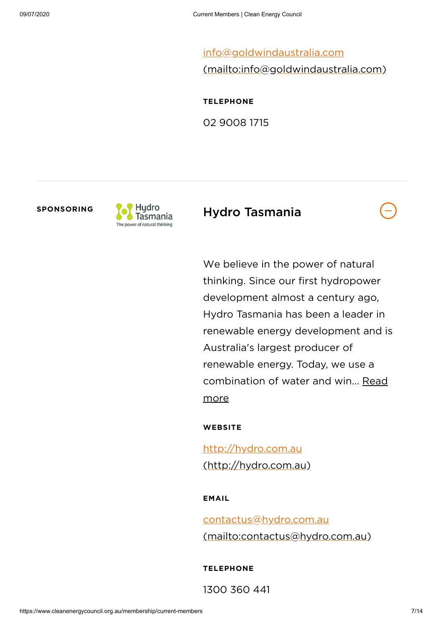info@goldwindaustralia.com [\(mailto:info@goldwindaustralia.com\)](mailto:info@goldwindaustralia.com)

**TELEPHONE**

02 9008 1715



### sponsoring **Tag Hydro** Hydro Tasmania

We believe in the power of natural thinking. Since our first hydropower development almost a century ago, Hydro Tasmania has been a leader in renewable energy development and is Australia's largest producer of renewable energy. Today, we use a combination of water and win... Read more

**WEBSITE**

http://hydro.com.au [\(http://hydro.com.au\)](http://hydro.com.au/)

#### **EMAIL**

contactus@hydro.com.au [\(mailto:contactus@hydro.com.au\)](mailto:contactus@hydro.com.au)

**TELEPHONE**

1300 360 441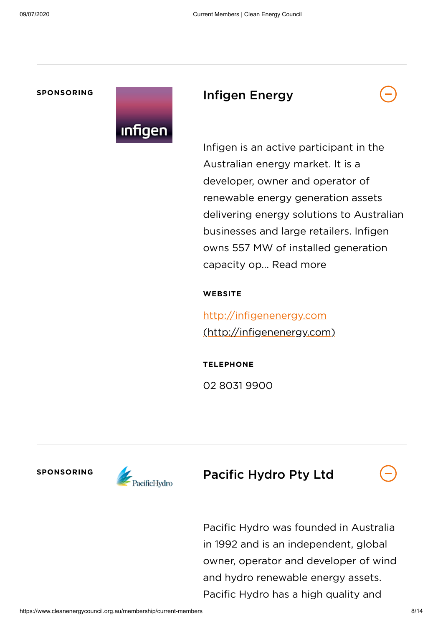#### **SPONSORING**



### Infigen Energy



Infigen is an active participant in the Australian energy market. It is a developer, owner and operator of renewable energy generation assets delivering energy solutions to Australian businesses and large retailers. Infigen owns 557 MW of installed generation capacity op... Read more

#### **WEBSITE**

http://infigenenergy.com [\(http://infigenenergy.com\)](http://infigenenergy.com/)

**TELEPHONE** 02 8031 9900



**SPONSORING** Pacific Hydro Pty Ltd

Pacific Hydro was founded in Australia in 1992 and is an independent, global owner, operator and developer of wind and hydro renewable energy assets. Pacific Hydro has a high quality and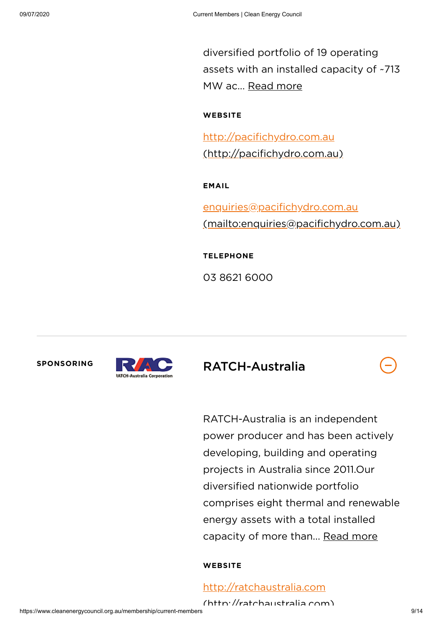diversified portfolio of 19 operating assets with an installed capacity of ~713 MW ac... Read more

**WEBSITE**

http://pacifichydro.com.au [\(http://pacifichydro.com.au\)](http://pacifichydro.com.au/)

**EMAIL**

enquiries@pacifichydro.com.au [\(mailto:enquiries@pacifichydro.com.au\)](mailto:enquiries@pacifichydro.com.au)

**TELEPHONE**

03 8621 6000





**SPONSORING** RATCH-Australia

RATCH-Australia is an independent power producer and has been actively developing, building and operating projects in Australia since 2011.Our diversified nationwide portfolio comprises eight thermal and renewable energy assets with a total installed capacity of more than... Read more

#### **WEBSITE**

[http://ratchaustralia.com](http://ratchaustralia.com/)

(http://ratchaustralia com)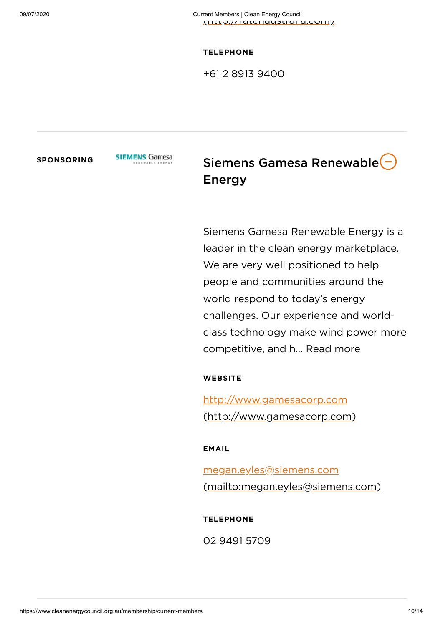**TELEPHONE**

+61 2 8913 9400

**SPONSORING** SIEMENS Gamesa Siemens Gamesa Renewable Energy

> Siemens Gamesa Renewable Energy is a leader in the clean energy marketplace. We are very well positioned to help people and communities around the world respond to today's energy challenges. Our experience and worldclass technology make wind power more competitive, and h... Read more

**WEBSITE**

http://www.gamesacorp.com [\(http://www.gamesacorp.com\)](http://www.gamesacorp.com/)

**EMAIL**

megan.eyles@siemens.com [\(mailto:megan.eyles@siemens.com\)](mailto:megan.eyles@siemens.com)

**TELEPHONE**

02 9491 5709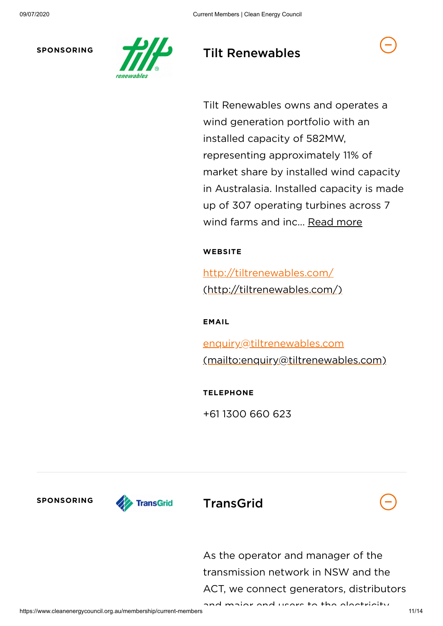

### **SPONSORING THE Renewables**

Tilt Renewables owns and operates a wind generation portfolio with an installed capacity of 582MW, representing approximately 11% of market share by installed wind capacity in Australasia. Installed capacity is made up of 307 operating turbines across 7 wind farms and inc... Read more

### **WEBSITE**

http://tiltrenewables.com/ [\(http://tiltrenewables.com/\)](http://tiltrenewables.com/)

**EMAIL**

enquiry@tiltrenewables.com [\(mailto:enquiry@tiltrenewables.com\)](mailto:enquiry@tiltrenewables.com)

**TELEPHONE**

+61 1300 660 623



As the operator and manager of the transmission network in NSW and the ACT, we connect generators, distributors

and major end users to the electricity

https://www.cleanenergycouncil.org.au/membership/current-members 11/14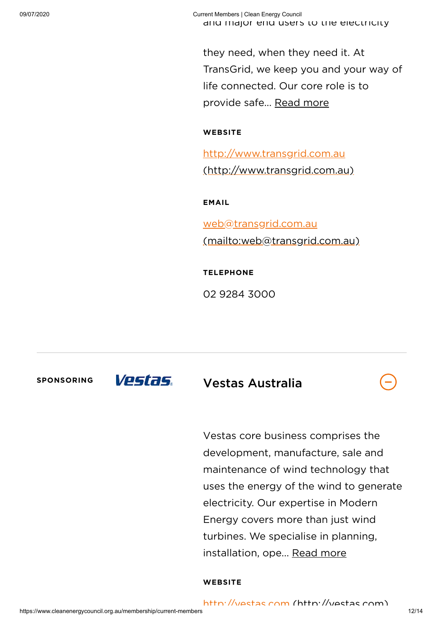they need, when they need it. At TransGrid, we keep you and your way of life connected. Our core role is to provide safe... Read more

#### **WEBSITE**

http://www.transgrid.com.au [\(http://www.transgrid.com.au\)](http://www.transgrid.com.au/)

**EMAIL**

web@transgrid.com.au [\(mailto:web@transgrid.com.au\)](mailto:web@transgrid.com.au)

**TELEPHONE**

02 9284 3000

SPONSORING **VESTAS.** Vestas Australia

Vestas core business comprises the development, manufacture, sale and maintenance of wind technology that uses the energy of the wind to generate electricity. Our expertise in Modern Energy covers more than just wind turbines. We specialise in planning, installation, ope... Read more

#### **WEBSITE**